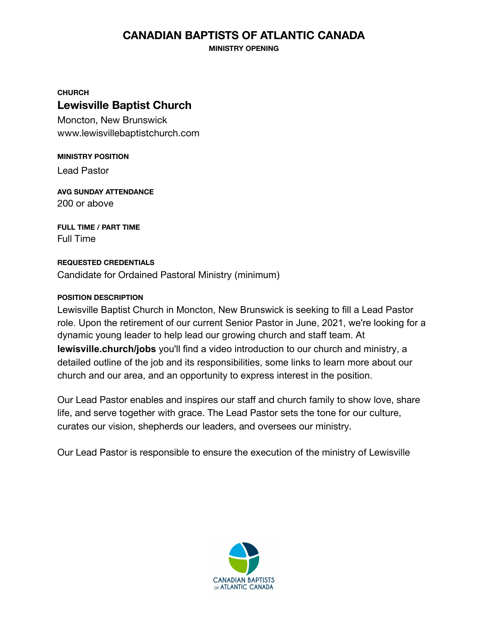## **CANADIAN BAPTISTS OF ATLANTIC CANADA**

**MINISTRY OPENING**

**CHURCH**

## **Lewisville Baptist Church**

Moncton, New Brunswick www.lewisvillebaptistchurch.com

**MINISTRY POSITION** Lead Pastor

**AVG SUNDAY ATTENDANCE** 200 or above

**FULL TIME / PART TIME** Full Time

### **REQUESTED CREDENTIALS**

Candidate for Ordained Pastoral Ministry (minimum)

#### **POSITION DESCRIPTION**

Lewisville Baptist Church in Moncton, New Brunswick is seeking to fill a Lead Pastor role. Upon the retirement of our current Senior Pastor in June, 2021, we're looking for a dynamic young leader to help lead our growing church and staff team. At **lewisville.church/jobs** you'll find a video introduction to our church and ministry, a detailed outline of the job and its responsibilities, some links to learn more about our church and our area, and an opportunity to express interest in the position.

Our Lead Pastor enables and inspires our staff and church family to show love, share life, and serve together with grace. The Lead Pastor sets the tone for our culture, curates our vision, shepherds our leaders, and oversees our ministry.

Our Lead Pastor is responsible to ensure the execution of the ministry of Lewisville